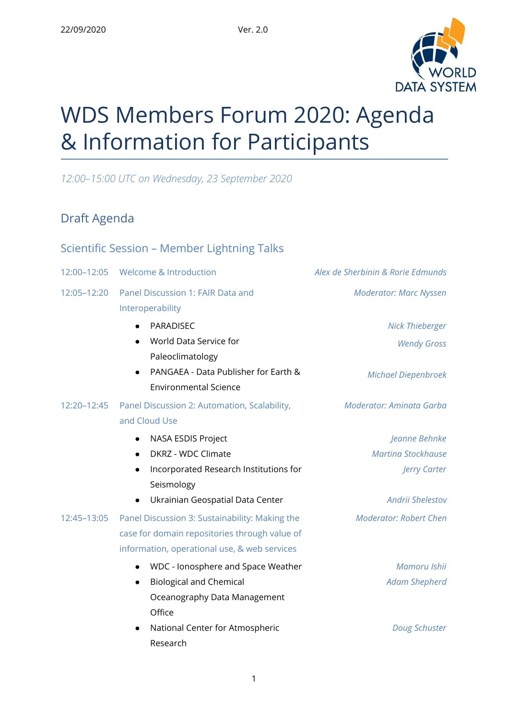

# WDS Members Forum 2020: Agenda & Information for Participants

*12:00–15:00 UTC on Wednesday, 23 September 2020*

# Draft Agenda

### Scientific Session – Member Lightning Talks

| 12:00-12:05 | <b>Welcome &amp; Introduction</b>               | Alex de Sherbinin & Rorie Edmunds |
|-------------|-------------------------------------------------|-----------------------------------|
| 12:05-12:20 | Panel Discussion 1: FAIR Data and               | <b>Moderator: Marc Nyssen</b>     |
|             | Interoperability                                |                                   |
|             | PARADISEC                                       | <b>Nick Thieberger</b>            |
|             | World Data Service for                          | <b>Wendy Gross</b>                |
|             | Paleoclimatology                                |                                   |
|             | PANGAEA - Data Publisher for Earth &            | <b>Michael Diepenbroek</b>        |
|             | <b>Environmental Science</b>                    |                                   |
| 12:20-12:45 | Panel Discussion 2: Automation, Scalability,    | Moderator: Aminata Garba          |
|             | and Cloud Use                                   |                                   |
|             | NASA ESDIS Project                              | Jeanne Behnke                     |
|             | DKRZ - WDC Climate                              | <b>Martina Stockhause</b>         |
|             | Incorporated Research Institutions for          | Jerry Carter                      |
|             | Seismology                                      |                                   |
|             | Ukrainian Geospatial Data Center                | <b>Andrii Shelestov</b>           |
| 12:45-13:05 | Panel Discussion 3: Sustainability: Making the  | <b>Moderator: Robert Chen</b>     |
|             | case for domain repositories through value of   |                                   |
|             | information, operational use, & web services    |                                   |
|             | WDC - Ionosphere and Space Weather<br>$\bullet$ | Mamoru Ishii                      |
|             | <b>Biological and Chemical</b><br>$\bullet$     | <b>Adam Shepherd</b>              |
|             | Oceanography Data Management                    |                                   |
|             | Office                                          |                                   |
|             | National Center for Atmospheric                 | Doug Schuster                     |
|             | Research                                        |                                   |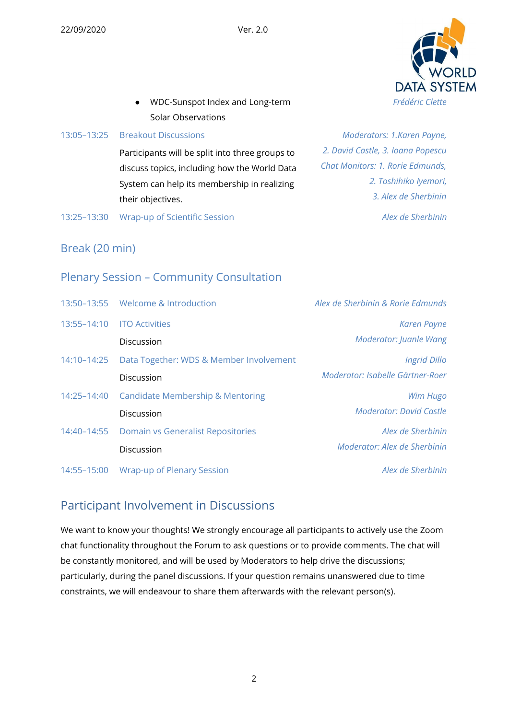

● WDC-Sunspot Index and Long-term Solar Observations

#### 13:05–13:25 Breakout Discussions

Participants will be split into three groups to discuss topics, including how the World Data System can help its membership in realizing their objectives.

13:25–13:30 Wrap-up of Scientific Session *Alex de Sherbinin*

*Moderators: 1.Karen Payne, 2. David Castle, 3. Ioana Popescu Chat Monitors: 1. Rorie Edmunds, 2. Toshihiko Iyemori, 3. Alex de Sherbinin*

Break (20 min)

### Plenary Session – Community Consultation

|             | 13:50-13:55 Welcome & Introduction            | Alex de Sherbinin & Rorie Edmunds |
|-------------|-----------------------------------------------|-----------------------------------|
| 13:55-14:10 | <b>ITO Activities</b>                         | <b>Karen Payne</b>                |
|             | Discussion                                    | Moderator: Juanle Wang            |
| 14:10-14:25 | Data Together: WDS & Member Involvement       | <b>Ingrid Dillo</b>               |
|             | Discussion                                    | Moderator: Isabelle Gärtner-Roer  |
|             | 14:25-14:40 Candidate Membership & Mentoring  | Wim Hugo                          |
|             | Discussion                                    | <b>Moderator: David Castle</b>    |
|             | 14:40-14:55 Domain vs Generalist Repositories | Alex de Sherbinin                 |
|             | Discussion                                    | Moderator: Alex de Sherbinin      |
| 14:55-15:00 | <b>Wrap-up of Plenary Session</b>             | Alex de Sherbinin                 |

## Participant Involvement in Discussions

We want to know your thoughts! We strongly encourage all participants to actively use the Zoom chat functionality throughout the Forum to ask questions or to provide comments. The chat will be constantly monitored, and will be used by Moderators to help drive the discussions; particularly, during the panel discussions. If your question remains unanswered due to time constraints, we will endeavour to share them afterwards with the relevant person(s).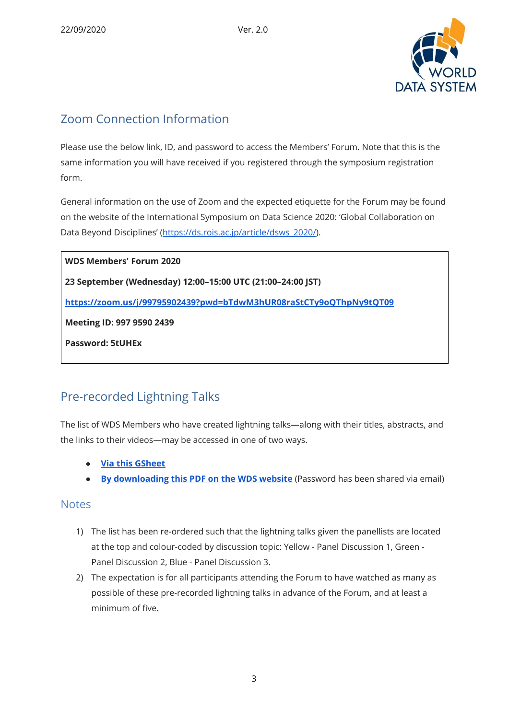

## Zoom Connection Information

Please use the below link, ID, and password to access the Members' Forum. Note that this is the same information you will have received if you registered through the symposium registration form.

General information on the use of Zoom and the expected etiquette for the Forum may be found on the website of the International Symposium on Data Science 2020: 'Global Collaboration on Data Beyond Disciplines' ([https://ds.rois.ac.jp/article/dsws\\_2020/](https://ds.rois.ac.jp/article/dsws_2020/)).

**WDS Members' Forum 2020 23 September (Wednesday) 12:00–15:00 UTC (21:00–24:00 JST) <https://zoom.us/j/99795902439?pwd=bTdwM3hUR08raStCTy9oQThpNy9tQT09> Meeting ID: 997 9590 2439 Password: 5tUHEx**

# Pre-recorded Lightning Talks

The list of WDS Members who have created lightning talks—along with their titles, abstracts, and the links to their videos—may be accessed in one of two ways.

- **● Via this [GSheet](https://docs.google.com/spreadsheets/d/1kWuMF_R6EbbOa3yNqrWHLrLtjyTM62CKDrlzROZ4M4M/edit?usp=sharing)**
- **By [downloading](https://www.worlddatasystem.org/files/pre-recorded-presentations-for-wds-members-forum-2020/at_download/file) this PDF on the WDS website** (Password has been shared via email)

#### **Notes**

- 1) The list has been re-ordered such that the lightning talks given the panellists are located at the top and colour-coded by discussion topic: Yellow - Panel Discussion 1, Green - Panel Discussion 2, Blue - Panel Discussion 3.
- 2) The expectation is for all participants attending the Forum to have watched as many as possible of these pre-recorded lightning talks in advance of the Forum, and at least a minimum of five.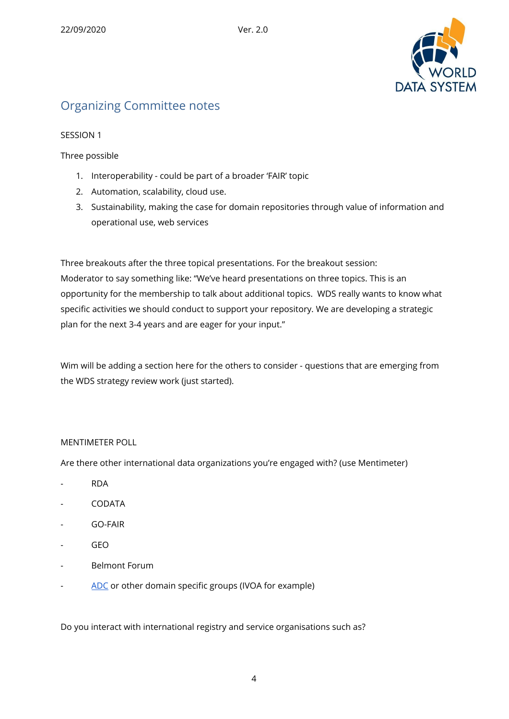

# Organizing Committee notes

#### SESSION 1

Three possible

- 1. Interoperability could be part of a broader 'FAIR' topic
- 2. Automation, scalability, cloud use.
- 3. Sustainability, making the case for domain repositories through value of information and operational use, web services

Three breakouts after the three topical presentations. For the breakout session: Moderator to say something like: "We've heard presentations on three topics. This is an opportunity for the membership to talk about additional topics. WDS really wants to know what specific activities we should conduct to support your repository. We are developing a strategic plan for the next 3-4 years and are eager for your input."

Wim will be adding a section here for the others to consider - questions that are emerging from the WDS strategy review work (just started).

#### MENTIMETER POLL

Are there other international data organizations you're engaged with? (use Mentimeter)

- RDA
- CODATA
- GO-FAIR
- GEO
- Belmont Forum
- [ADC](https://arcticdc.org/) or other domain specific groups (IVOA for example)

Do you interact with international registry and service organisations such as?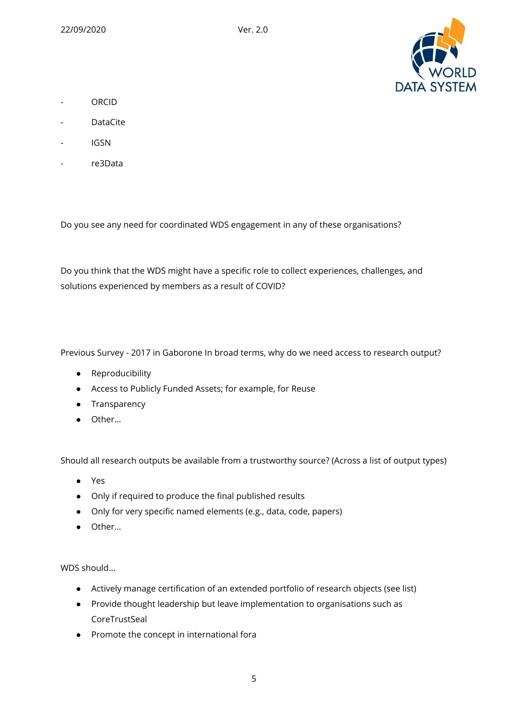

- ORCID
- DataCite
- IGSN
- re3Data

Do you see any need for coordinated WDS engagement in any of these organisations?

Do you think that the WDS might have a specific role to collect experiences, challenges, and solutions experienced by members as a result of COVID?

Previous Survey - 2017 in Gaborone In broad terms, why do we need access to research output?

- Reproducibility
- Access to Publicly Funded Assets; for example, for Reuse
- Transparency
- Other…

Should all research outputs be available from a trustworthy source? (Across a list of output types)

- Yes
- Only if required to produce the final published results
- Only for very specific named elements (e.g., data, code, papers)
- Other…

WDS should...

- Actively manage certification of an extended portfolio of research objects (see list)
- Provide thought leadership but leave implementation to organisations such as **CoreTrustSeal**
- Promote the concept in international fora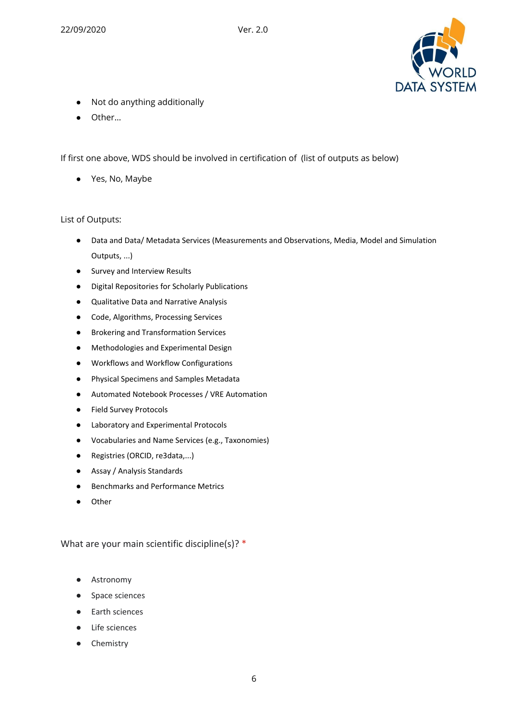

- Not do anything additionally
- Other…

If first one above, WDS should be involved in certification of (list of outputs as below)

● Yes, No, Maybe

#### List of Outputs:

- Data and Data/ Metadata Services (Measurements and Observations, Media, Model and Simulation Outputs, ...)
- Survey and Interview Results
- Digital Repositories for Scholarly Publications
- Qualitative Data and Narrative Analysis
- Code, Algorithms, Processing Services
- Brokering and Transformation Services
- Methodologies and Experimental Design
- Workflows and Workflow Configurations
- Physical Specimens and Samples Metadata
- Automated Notebook Processes / VRE Automation
- Field Survey Protocols
- Laboratory and Experimental Protocols
- Vocabularies and Name Services (e.g., Taxonomies)
- Registries (ORCID, re3data,...)
- Assay / Analysis Standards
- Benchmarks and Performance Metrics
- Other

What are your main scientific discipline(s)? \*

- Astronomy
- Space sciences
- Earth sciences
- Life sciences
- Chemistry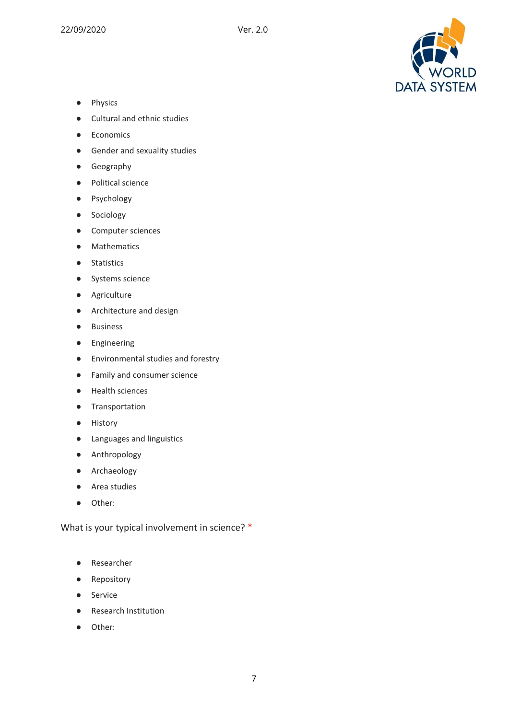

- Physics
- Cultural and ethnic studies
- Economics
- Gender and sexuality studies
- Geography
- Political science
- Psychology
- Sociology
- Computer sciences
- Mathematics
- Statistics
- Systems science
- Agriculture
- Architecture and design
- Business
- Engineering
- Environmental studies and forestry
- Family and consumer science
- Health sciences
- Transportation
- History
- Languages and linguistics
- Anthropology
- Archaeology
- Area studies
- Other:

What is your typical involvement in science? \*

- Researcher
- Repository
- Service
- Research Institution
- Other: